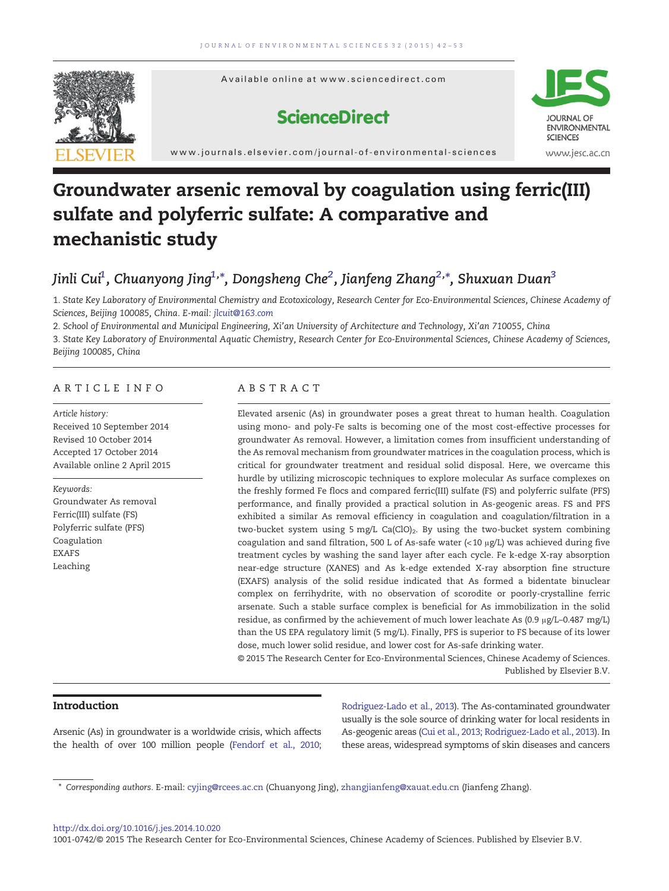



**ScienceDirect** 



www.journals.elsevier.com/journal-of-environmental-sciences

# Groundwater arsenic removal by coagulation using ferric(III) sulfate and polyferric sulfate: A comparative and mechanistic study

# Jinli Cui $^1$ , Chuanyong Jing $^{1,\ast}$ , Dongsheng Che $^2$ , Jianfeng Zhang $^{2,\ast}$ , Shuxuan Duan $^3$

1. State Key Laboratory of Environmental Chemistry and Ecotoxicology, Research Center for Eco-Environmental Sciences, Chinese Academy of Sciences, Beijing 100085, China. E-mail: [jlcuit@163.com](mailto:)

2. School of Environmental and Municipal Engineering, Xi'an University of Architecture and Technology, Xi'an 710055, China

3. State Key Laboratory of Environmental Aquatic Chemistry, Research Center for Eco-Environmental Sciences, Chinese Academy of Sciences, Beijing 100085, China

# ARTICLE INFO ABSTRACT

Article history: Received 10 September 2014 Revised 10 October 2014 Accepted 17 October 2014 Available online 2 April 2015

Keywords: Groundwater As removal Ferric(III) sulfate (FS) Polyferric sulfate (PFS) Coagulation EXAFS Leaching

Elevated arsenic (As) in groundwater poses a great threat to human health. Coagulation using mono- and poly-Fe salts is becoming one of the most cost-effective processes for groundwater As removal. However, a limitation comes from insufficient understanding of the As removal mechanism from groundwater matrices in the coagulation process, which is critical for groundwater treatment and residual solid disposal. Here, we overcame this hurdle by utilizing microscopic techniques to explore molecular As surface complexes on the freshly formed Fe flocs and compared ferric(III) sulfate (FS) and polyferric sulfate (PFS) performance, and finally provided a practical solution in As-geogenic areas. FS and PFS exhibited a similar As removal efficiency in coagulation and coagulation/filtration in a two-bucket system using 5 mg/L Ca(ClO)<sub>2</sub>. By using the two-bucket system combining coagulation and sand filtration, 500 L of As-safe water (<10  $\mu$ g/L) was achieved during five treatment cycles by washing the sand layer after each cycle. Fe k-edge X-ray absorption near-edge structure (XANES) and As k-edge extended X-ray absorption fine structure (EXAFS) analysis of the solid residue indicated that As formed a bidentate binuclear complex on ferrihydrite, with no observation of scorodite or poorly-crystalline ferric arsenate. Such a stable surface complex is beneficial for As immobilization in the solid residue, as confirmed by the achievement of much lower leachate As (0.9 μg/L–0.487 mg/L) than the US EPA regulatory limit (5 mg/L). Finally, PFS is superior to FS because of its lower dose, much lower solid residue, and lower cost for As-safe drinking water.

© 2015 The Research Center for Eco-Environmental Sciences, Chinese Academy of Sciences. Published by Elsevier B.V.

# Introduction

Arsenic (As) in groundwater is a worldwide crisis, which affects the health of over 100 million people ([Fendorf et al., 2010;](#page-10-0) [Rodriguez-Lado et al., 2013](#page-10-0)). The As-contaminated groundwater usually is the sole source of drinking water for local residents in As-geogenic areas [\(Cui et al., 2013; Rodriguez-Lado et al., 2013\)](#page-10-0). In these areas, widespread symptoms of skin diseases and cancers

<sup>⁎</sup> Corresponding authors. E-mail: [cyjing@rcees.ac.cn](mailto:) (Chuanyong Jing), [zhangjianfeng@xauat.edu.cn](mailto:) (Jianfeng Zhang).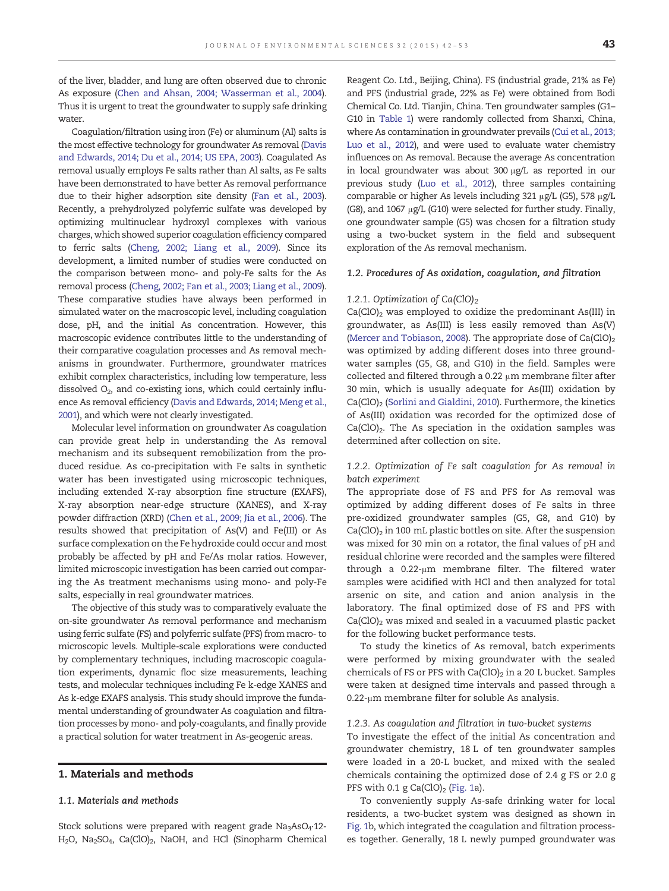of the liver, bladder, and lung are often observed due to chronic As exposure ([Chen and Ahsan, 2004; Wasserman et al., 2004\)](#page-10-0). Thus it is urgent to treat the groundwater to supply safe drinking water

Coagulation/filtration using iron (Fe) or aluminum (Al) salts is the most effective technology for groundwater As removal [\(Davis](#page-10-0) [and Edwards, 2014; Du et al., 2014; US EPA, 2003\)](#page-10-0). Coagulated As removal usually employs Fe salts rather than Al salts, as Fe salts have been demonstrated to have better As removal performance due to their higher adsorption site density [\(Fan et al., 2003\)](#page-10-0). Recently, a prehydrolyzed polyferric sulfate was developed by optimizing multinuclear hydroxyl complexes with various charges, which showed superior coagulation efficiency compared to ferric salts [\(Cheng, 2002; Liang et al., 2009\)](#page-10-0). Since its development, a limited number of studies were conducted on the comparison between mono- and poly-Fe salts for the As removal process [\(Cheng, 2002; Fan et al., 2003; Liang et al., 2009\)](#page-10-0). These comparative studies have always been performed in simulated water on the macroscopic level, including coagulation dose, pH, and the initial As concentration. However, this macroscopic evidence contributes little to the understanding of their comparative coagulation processes and As removal mechanisms in groundwater. Furthermore, groundwater matrices exhibit complex characteristics, including low temperature, less dissolved  $O<sub>2</sub>$ , and co-existing ions, which could certainly influence As removal efficiency [\(Davis and Edwards, 2014; Meng et al.,](#page-10-0) [2001\)](#page-10-0), and which were not clearly investigated.

Molecular level information on groundwater As coagulation can provide great help in understanding the As removal mechanism and its subsequent remobilization from the produced residue. As co-precipitation with Fe salts in synthetic water has been investigated using microscopic techniques, including extended X-ray absorption fine structure (EXAFS), X-ray absorption near-edge structure (XANES), and X-ray powder diffraction (XRD) ([Chen et al., 2009; Jia et al., 2006](#page-10-0)). The results showed that precipitation of As(V) and Fe(III) or As surface complexation on the Fe hydroxide could occur and most probably be affected by pH and Fe/As molar ratios. However, limited microscopic investigation has been carried out comparing the As treatment mechanisms using mono- and poly-Fe salts, especially in real groundwater matrices.

The objective of this study was to comparatively evaluate the on-site groundwater As removal performance and mechanism using ferric sulfate (FS) and polyferric sulfate (PFS) from macro- to microscopic levels. Multiple-scale explorations were conducted by complementary techniques, including macroscopic coagulation experiments, dynamic floc size measurements, leaching tests, and molecular techniques including Fe k-edge XANES and As k-edge EXAFS analysis. This study should improve the fundamental understanding of groundwater As coagulation and filtration processes by mono- and poly-coagulants, and finally provide a practical solution for water treatment in As-geogenic areas.

### 1. Materials and methods

# 1.1. Materials and methods

Stock solutions were prepared with reagent grade Na<sub>3</sub>AsO<sub>4</sub>·12-H<sub>2</sub>O, Na<sub>2</sub>SO<sub>4</sub>, Ca(ClO)<sub>2</sub>, NaOH, and HCl (Sinopharm Chemical

Reagent Co. Ltd., Beijing, China). FS (industrial grade, 21% as Fe) and PFS (industrial grade, 22% as Fe) were obtained from Bodi Chemical Co. Ltd. Tianjin, China. Ten groundwater samples (G1– G10 in [Table 1](#page-2-0)) were randomly collected from Shanxi, China, where As contamination in groundwater prevails ([Cui et al., 2013;](#page-10-0) [Luo et al., 2012\)](#page-10-0), and were used to evaluate water chemistry influences on As removal. Because the average As concentration in local groundwater was about 300 μg/L as reported in our previous study [\(Luo et al., 2012\)](#page-10-0), three samples containing comparable or higher As levels including 321 μg/L (G5), 578 μg/L (G8), and 1067 μg/L (G10) were selected for further study. Finally, one groundwater sample (G5) was chosen for a filtration study using a two-bucket system in the field and subsequent exploration of the As removal mechanism.

#### 1.2. Procedures of As oxidation, coagulation, and filtration

#### 1.2.1. Optimization of Ca(ClO)<sub>2</sub>

 $Ca(CIO)$ <sub>2</sub> was employed to oxidize the predominant As(III) in groundwater, as As(III) is less easily removed than As(V) [\(Mercer and Tobiason, 2008\)](#page-10-0). The appropriate dose of Ca(ClO)<sub>2</sub> was optimized by adding different doses into three groundwater samples (G5, G8, and G10) in the field. Samples were collected and filtered through a 0.22 μm membrane filter after 30 min, which is usually adequate for As(III) oxidation by Ca(ClO)<sub>2</sub> ([Sorlini and Gialdini, 2010](#page-10-0)). Furthermore, the kinetics of As(III) oxidation was recorded for the optimized dose of  $Ca(CIO)_2$ . The As speciation in the oxidation samples was determined after collection on site.

# 1.2.2. Optimization of Fe salt coagulation for As removal in batch experiment

The appropriate dose of FS and PFS for As removal was optimized by adding different doses of Fe salts in three pre-oxidized groundwater samples (G5, G8, and G10) by  $Ca(CIO)_2$  in 100 mL plastic bottles on site. After the suspension was mixed for 30 min on a rotator, the final values of pH and residual chlorine were recorded and the samples were filtered through a 0.22-μm membrane filter. The filtered water samples were acidified with HCl and then analyzed for total arsenic on site, and cation and anion analysis in the laboratory. The final optimized dose of FS and PFS with  $Ca(CIO)$ <sub>2</sub> was mixed and sealed in a vacuumed plastic packet for the following bucket performance tests.

To study the kinetics of As removal, batch experiments were performed by mixing groundwater with the sealed chemicals of FS or PFS with  $Ca(CIO)_2$  in a 20 L bucket. Samples were taken at designed time intervals and passed through a 0.22-μm membrane filter for soluble As analysis.

#### 1.2.3. As coagulation and filtration in two-bucket systems

To investigate the effect of the initial As concentration and groundwater chemistry, 18 L of ten groundwater samples were loaded in a 20-L bucket, and mixed with the sealed chemicals containing the optimized dose of 2.4 g FS or 2.0 g PFS with 0.1 g  $Ca(CIO)_2$  [\(Fig. 1](#page-2-0)a).

To conveniently supply As-safe drinking water for local residents, a two-bucket system was designed as shown in [Fig. 1](#page-2-0)b, which integrated the coagulation and filtration processes together. Generally, 18 L newly pumped groundwater was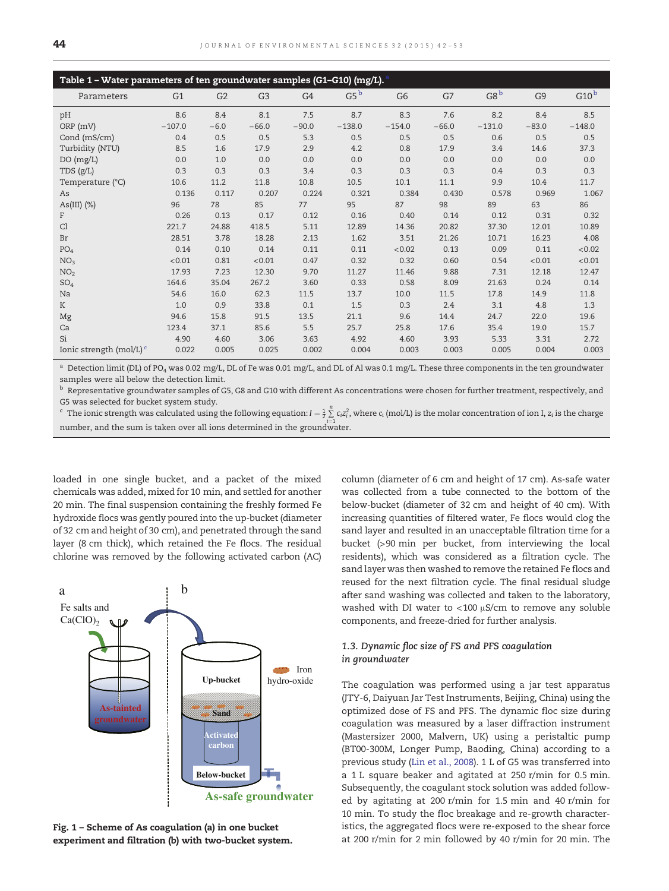<span id="page-2-0"></span>

| Table 1 - Water parameters of ten groundwater samples (G1-G10) (mg/L). |          |                |                |         |          |                |         |                 |                |                  |
|------------------------------------------------------------------------|----------|----------------|----------------|---------|----------|----------------|---------|-----------------|----------------|------------------|
| Parameters                                                             | G1       | G <sub>2</sub> | G <sub>3</sub> | G4      | $G5^b$   | G <sub>6</sub> | G7      | G8 <sup>b</sup> | G <sub>9</sub> | G10 <sup>b</sup> |
| pH                                                                     | 8.6      | 8.4            | 8.1            | 7.5     | 8.7      | 8.3            | 7.6     | 8.2             | 8.4            | 8.5              |
| ORP (mV)                                                               | $-107.0$ | $-6.0$         | $-66.0$        | $-90.0$ | $-138.0$ | $-154.0$       | $-66.0$ | $-131.0$        | $-83.0$        | $-148.0$         |
| Cond (mS/cm)                                                           | 0.4      | 0.5            | 0.5            | 5.3     | 0.5      | 0.5            | 0.5     | 0.6             | 0.5            | 0.5              |
| Turbidity (NTU)                                                        | 8.5      | 1.6            | 17.9           | 2.9     | 4.2      | 0.8            | 17.9    | 3.4             | 14.6           | 37.3             |
| DO(mg/L)                                                               | 0.0      | 1.0            | 0.0            | 0.0     | 0.0      | 0.0            | 0.0     | 0.0             | 0.0            | 0.0              |
| TDS (g/L)                                                              | 0.3      | 0.3            | 0.3            | 3.4     | 0.3      | 0.3            | 0.3     | 0.4             | 0.3            | 0.3              |
| Temperature (°C)                                                       | 10.6     | 11.2           | 11.8           | 10.8    | 10.5     | 10.1           | 11.1    | 9.9             | 10.4           | 11.7             |
| As                                                                     | 0.136    | 0.117          | 0.207          | 0.224   | 0.321    | 0.384          | 0.430   | 0.578           | 0.969          | 1.067            |
| As(III) $(\%)$                                                         | 96       | 78             | 85             | 77      | 95       | 87             | 98      | 89              | 63             | 86               |
| F                                                                      | 0.26     | 0.13           | 0.17           | 0.12    | 0.16     | 0.40           | 0.14    | 0.12            | 0.31           | 0.32             |
| Cl                                                                     | 221.7    | 24.88          | 418.5          | 5.11    | 12.89    | 14.36          | 20.82   | 37.30           | 12.01          | 10.89            |
| Br                                                                     | 28.51    | 3.78           | 18.28          | 2.13    | 1.62     | 3.51           | 21.26   | 10.71           | 16.23          | 4.08             |
| PO <sub>4</sub>                                                        | 0.14     | 0.10           | 0.14           | 0.11    | 0.11     | < 0.02         | 0.13    | 0.09            | 0.11           | < 0.02           |
| NO <sub>3</sub>                                                        | < 0.01   | 0.81           | < 0.01         | 0.47    | 0.32     | 0.32           | 0.60    | 0.54            | < 0.01         | < 0.01           |
| NO <sub>2</sub>                                                        | 17.93    | 7.23           | 12.30          | 9.70    | 11.27    | 11.46          | 9.88    | 7.31            | 12.18          | 12.47            |
| SO <sub>4</sub>                                                        | 164.6    | 35.04          | 267.2          | 3.60    | 0.33     | 0.58           | 8.09    | 21.63           | 0.24           | 0.14             |
| Na                                                                     | 54.6     | 16.0           | 62.3           | 11.5    | 13.7     | 10.0           | 11.5    | 17.8            | 14.9           | 11.8             |
| K                                                                      | 1.0      | 0.9            | 33.8           | 0.1     | 1.5      | 0.3            | 2.4     | 3.1             | 4.8            | 1.3              |
| Mg                                                                     | 94.6     | 15.8           | 91.5           | 13.5    | 21.1     | 9.6            | 14.4    | 24.7            | 22.0           | 19.6             |
| Ca                                                                     | 123.4    | 37.1           | 85.6           | 5.5     | 25.7     | 25.8           | 17.6    | 35.4            | 19.0           | 15.7             |
| Si                                                                     | 4.90     | 4.60           | 3.06           | 3.63    | 4.92     | 4.60           | 3.93    | 5.33            | 3.31           | 2.72             |
| Ionic strength (mol/L) $\text{c}$                                      | 0.022    | 0.005          | 0.025          | 0.002   | 0.004    | 0.003          | 0.003   | 0.005           | 0.004          | 0.003            |

<sup>a</sup> Detection limit (DL) of PO<sub>4</sub> was 0.02 mg/L, DL of Fe was 0.01 mg/L, and DL of Al was 0.1 mg/L. These three components in the ten groundwater samples were all below the detection limit.

 $b$  Representative groundwater samples of G5, G8 and G10 with different As concentrations were chosen for further treatment, respectively, and G5 was selected for bucket system study.

<sup>c</sup> The ionic strength was calculated using the following equation:  $I = \frac{1}{2} \sum_{i=1}^{n} c_i z_i^2$ , where  $c_i$  (mol/L) is the molar concentration of ion I,  $z_i$  is the charge number, and the sum is taken over all ions determined in the groundwater.

loaded in one single bucket, and a packet of the mixed chemicals was added, mixed for 10 min, and settled for another 20 min. The final suspension containing the freshly formed Fe hydroxide flocs was gently poured into the up-bucket (diameter of 32 cm and height of 30 cm), and penetrated through the sand layer (8 cm thick), which retained the Fe flocs. The residual chlorine was removed by the following activated carbon (AC)



Fig. 1 – Scheme of As coagulation (a) in one bucket experiment and filtration (b) with two-bucket system.

column (diameter of 6 cm and height of 17 cm). As-safe water was collected from a tube connected to the bottom of the below-bucket (diameter of 32 cm and height of 40 cm). With increasing quantities of filtered water, Fe flocs would clog the sand layer and resulted in an unacceptable filtration time for a bucket (>90 min per bucket, from interviewing the local residents), which was considered as a filtration cycle. The sand layer was then washed to remove the retained Fe flocs and reused for the next filtration cycle. The final residual sludge after sand washing was collected and taken to the laboratory, washed with DI water to  $<$  100  $\mu$ S/cm to remove any soluble components, and freeze-dried for further analysis.

# 1.3. Dynamic floc size of FS and PFS coagulation in groundwater

The coagulation was performed using a jar test apparatus (JTY-6, Daiyuan Jar Test Instruments, Beijing, China) using the optimized dose of FS and PFS. The dynamic floc size during coagulation was measured by a laser diffraction instrument (Mastersizer 2000, Malvern, UK) using a peristaltic pump (BT00-300M, Longer Pump, Baoding, China) according to a previous study ([Lin et al., 2008\)](#page-10-0). 1 L of G5 was transferred into a 1 L square beaker and agitated at 250 r/min for 0.5 min. Subsequently, the coagulant stock solution was added followed by agitating at 200 r/min for 1.5 min and 40 r/min for 10 min. To study the floc breakage and re-growth characteristics, the aggregated flocs were re-exposed to the shear force at 200 r/min for 2 min followed by 40 r/min for 20 min. The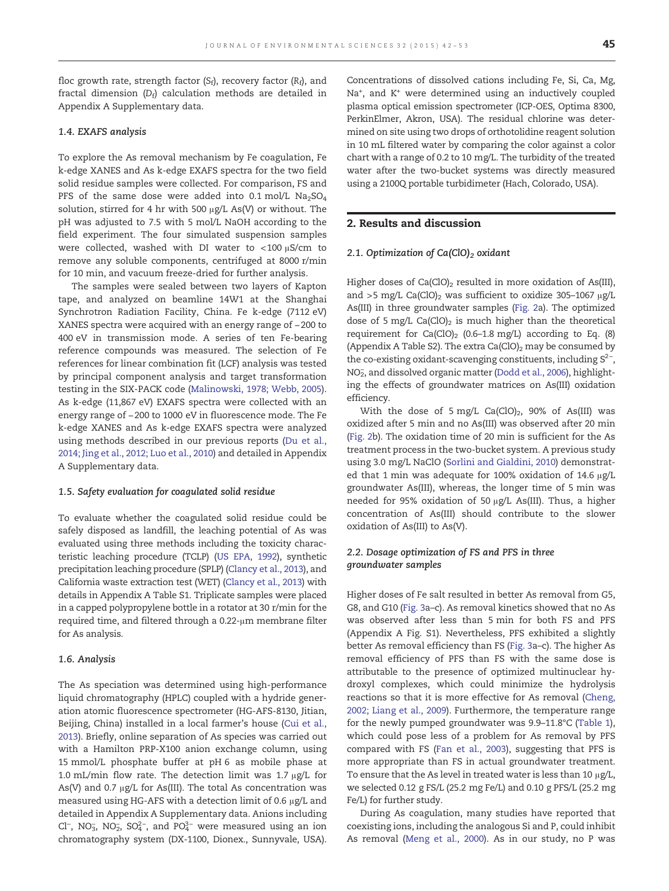floc growth rate, strength factor ( $S_f$ ), recovery factor ( $R_f$ ), and fractal dimension  $(D_f)$  calculation methods are detailed in Appendix A Supplementary data.

#### 1.4. EXAFS analysis

To explore the As removal mechanism by Fe coagulation, Fe k-edge XANES and As k-edge EXAFS spectra for the two field solid residue samples were collected. For comparison, FS and PFS of the same dose were added into 0.1 mol/L  $Na<sub>2</sub>SO<sub>4</sub>$ solution, stirred for 4 hr with 500 μg/L As(V) or without. The pH was adjusted to 7.5 with 5 mol/L NaOH according to the field experiment. The four simulated suspension samples were collected, washed with DI water to <100 μS/cm to remove any soluble components, centrifuged at 8000 r/min for 10 min, and vacuum freeze-dried for further analysis.

The samples were sealed between two layers of Kapton tape, and analyzed on beamline 14W1 at the Shanghai Synchrotron Radiation Facility, China. Fe k-edge (7112 eV) XANES spectra were acquired with an energy range of −200 to 400 eV in transmission mode. A series of ten Fe-bearing reference compounds was measured. The selection of Fe references for linear combination fit (LCF) analysis was tested by principal component analysis and target transformation testing in the SIX-PACK code [\(Malinowski, 1978; Webb, 2005](#page-10-0)). As k-edge (11,867 eV) EXAFS spectra were collected with an energy range of −200 to 1000 eV in fluorescence mode. The Fe k-edge XANES and As k-edge EXAFS spectra were analyzed using methods described in our previous reports [\(Du et al.,](#page-10-0) [2014; Jing et al., 2012; Luo et al., 2010\)](#page-10-0) and detailed in Appendix A Supplementary data.

#### 1.5. Safety evaluation for coagulated solid residue

To evaluate whether the coagulated solid residue could be safely disposed as landfill, the leaching potential of As was evaluated using three methods including the toxicity characteristic leaching procedure (TCLP) [\(US EPA, 1992\)](#page-11-0), synthetic precipitation leaching procedure (SPLP) [\(Clancy et al., 2013](#page-10-0)), and California waste extraction test (WET) ([Clancy et al., 2013\)](#page-10-0) with details in Appendix A Table S1. Triplicate samples were placed in a capped polypropylene bottle in a rotator at 30 r/min for the required time, and filtered through a 0.22-μm membrane filter for As analysis.

### 1.6. Analysis

The As speciation was determined using high-performance liquid chromatography (HPLC) coupled with a hydride generation atomic fluorescence spectrometer (HG-AFS-8130, Jitian, Beijing, China) installed in a local farmer's house [\(Cui et al.,](#page-10-0) [2013](#page-10-0)). Briefly, online separation of As species was carried out with a Hamilton PRP-X100 anion exchange column, using 15 mmol/L phosphate buffer at pH 6 as mobile phase at 1.0 mL/min flow rate. The detection limit was 1.7  $\mu$ g/L for As(V) and 0.7 μg/L for As(III). The total As concentration was measured using HG-AFS with a detection limit of 0.6 μg/L and detailed in Appendix A Supplementary data. Anions including Cl<sup>-</sup>, NO<sub>3</sub>, NO<sub>2</sub>, SO<sub>4</sub><sup>2</sup>-, and PO<sub>4</sub><sup>2</sup> were measured using an ion chromatography system (DX-1100, Dionex., Sunnyvale, USA).

Concentrations of dissolved cations including Fe, Si, Ca, Mg, Na<sup>+</sup>, and K<sup>+</sup> were determined using an inductively coupled plasma optical emission spectrometer (ICP-OES, Optima 8300, PerkinElmer, Akron, USA). The residual chlorine was determined on site using two drops of orthotolidine reagent solution in 10 mL filtered water by comparing the color against a color chart with a range of 0.2 to 10 mg/L. The turbidity of the treated water after the two-bucket systems was directly measured using a 2100Q portable turbidimeter (Hach, Colorado, USA).

# 2. Results and discussion

# 2.1. Optimization of Ca(ClO)<sub>2</sub> oxidant

Higher doses of  $Ca(CIO)_2$  resulted in more oxidation of As(III), and >5 mg/L Ca(ClO)<sub>2</sub> was sufficient to oxidize 305-1067  $\mu$ g/L As(III) in three groundwater samples [\(Fig. 2](#page-4-0)a). The optimized dose of 5 mg/L  $Ca(CIO)_2$  is much higher than the theoretical requirement for  $Ca(CIO)_2$  (0.6-1.8 mg/L) according to Eq. (8) (Appendix A Table S2). The extra  $Ca(CIO)_2$  may be consumed by the co-existing oxidant-scavenging constituents, including S<sup>2-</sup>, NO<sub>2</sub>, and dissolved organic matter ([Dodd et al., 2006](#page-10-0)), highlighting the effects of groundwater matrices on As(III) oxidation efficiency.

With the dose of 5 mg/L  $Ca(CIO)_2$ , 90% of As(III) was oxidized after 5 min and no As(III) was observed after 20 min [\(Fig. 2b](#page-4-0)). The oxidation time of 20 min is sufficient for the As treatment process in the two-bucket system. A previous study using 3.0 mg/L NaClO [\(Sorlini and Gialdini, 2010\)](#page-10-0) demonstrated that 1 min was adequate for 100% oxidation of 14.6 μg/L groundwater As(III), whereas, the longer time of 5 min was needed for 95% oxidation of 50 μg/L As(III). Thus, a higher concentration of As(III) should contribute to the slower oxidation of As(III) to As(V).

# 2.2. Dosage optimization of FS and PFS in three groundwater samples

Higher doses of Fe salt resulted in better As removal from G5, G8, and G10 ([Fig. 3a](#page-4-0)–c). As removal kinetics showed that no As was observed after less than 5 min for both FS and PFS (Appendix A Fig. S1). Nevertheless, PFS exhibited a slightly better As removal efficiency than FS [\(Fig. 3](#page-4-0)a–c). The higher As removal efficiency of PFS than FS with the same dose is attributable to the presence of optimized multinuclear hydroxyl complexes, which could minimize the hydrolysis reactions so that it is more effective for As removal [\(Cheng,](#page-10-0) [2002; Liang et al., 2009](#page-10-0)). Furthermore, the temperature range for the newly pumped groundwater was 9.9–11.8°C ([Table 1](#page-2-0)), which could pose less of a problem for As removal by PFS compared with FS ([Fan et al., 2003\)](#page-10-0), suggesting that PFS is more appropriate than FS in actual groundwater treatment. To ensure that the As level in treated water is less than 10 μg/L, we selected 0.12 g FS/L (25.2 mg Fe/L) and 0.10 g PFS/L (25.2 mg Fe/L) for further study.

During As coagulation, many studies have reported that coexisting ions, including the analogous Si and P, could inhibit As removal [\(Meng et al., 2000\)](#page-10-0). As in our study, no P was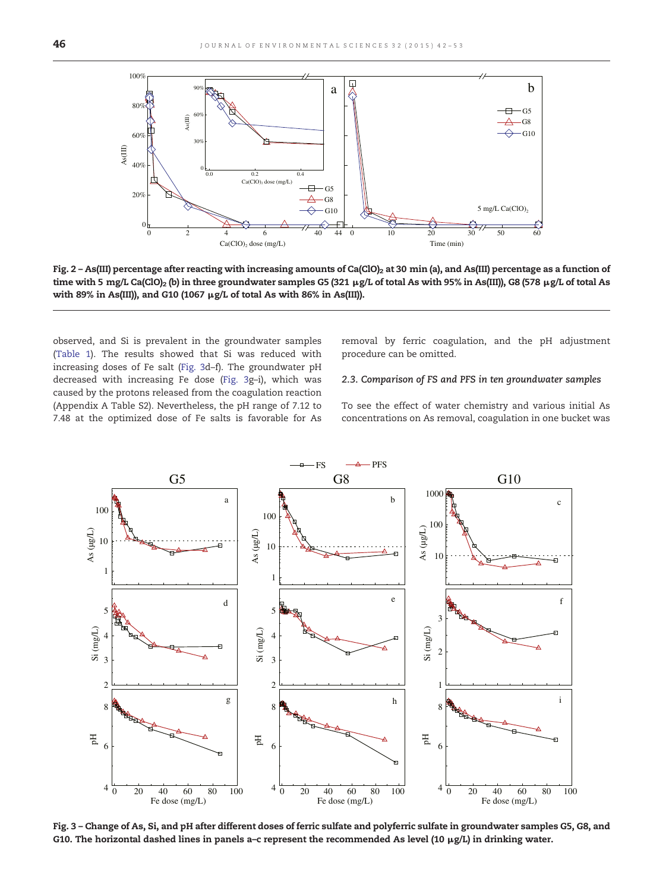<span id="page-4-0"></span>

Fig. 2 - As(III) percentage after reacting with increasing amounts of Ca(ClO)<sub>2</sub> at 30 min (a), and As(III) percentage as a function of time with 5 mg/L Ca(ClO)<sub>2</sub> (b) in three groundwater samples G5 (321 μg/L of total As with 95% in As(III)), G8 (578 μg/L of total As with 89% in As(III)), and G10 (1067  $\mu$ g/L of total As with 86% in As(III)).

observed, and Si is prevalent in the groundwater samples ([Table 1\)](#page-2-0). The results showed that Si was reduced with increasing doses of Fe salt (Fig. 3d–f). The groundwater pH decreased with increasing Fe dose (Fig. 3g–i), which was caused by the protons released from the coagulation reaction (Appendix A Table S2). Nevertheless, the pH range of 7.12 to 7.48 at the optimized dose of Fe salts is favorable for As removal by ferric coagulation, and the pH adjustment procedure can be omitted.

# 2.3. Comparison of FS and PFS in ten groundwater samples

To see the effect of water chemistry and various initial As concentrations on As removal, coagulation in one bucket was



Fig. 3 – Change of As, Si, and pH after different doses of ferric sulfate and polyferric sulfate in groundwater samples G5, G8, and G10. The horizontal dashed lines in panels a–c represent the recommended As level (10 μg/L) in drinking water.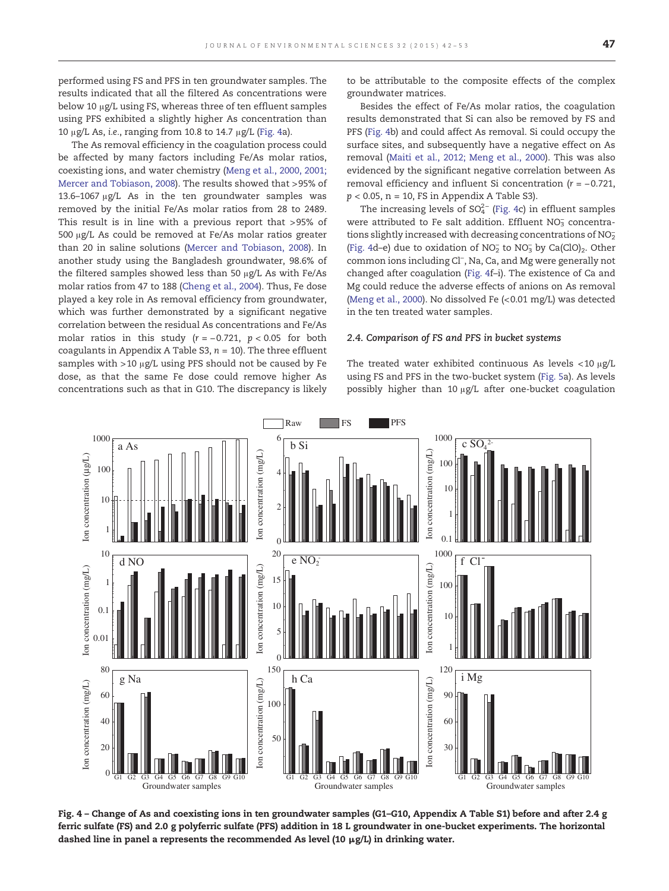<span id="page-5-0"></span>The As removal efficiency in the coagulation process could be affected by many factors including Fe/As molar ratios, coexisting ions, and water chemistry [\(Meng et al., 2000, 2001;](#page-10-0) [Mercer and Tobiason, 2008](#page-10-0)). The results showed that >95% of 13.6–1067 μg/L As in the ten groundwater samples was removed by the initial Fe/As molar ratios from 28 to 2489. This result is in line with a previous report that >95% of 500 μg/L As could be removed at Fe/As molar ratios greater than 20 in saline solutions ([Mercer and Tobiason, 2008\)](#page-10-0). In another study using the Bangladesh groundwater, 98.6% of the filtered samples showed less than 50 μg/L As with Fe/As molar ratios from 47 to 188 [\(Cheng et al., 2004\)](#page-10-0). Thus, Fe dose played a key role in As removal efficiency from groundwater, which was further demonstrated by a significant negative correlation between the residual As concentrations and Fe/As molar ratios in this study  $(r = -0.721, p < 0.05$  for both coagulants in Appendix A Table S3,  $n = 10$ ). The three effluent samples with >10 μg/L using PFS should not be caused by Fe dose, as that the same Fe dose could remove higher As concentrations such as that in G10. The discrepancy is likely to be attributable to the composite effects of the complex groundwater matrices.

Besides the effect of Fe/As molar ratios, the coagulation results demonstrated that Si can also be removed by FS and PFS (Fig. 4b) and could affect As removal. Si could occupy the surface sites, and subsequently have a negative effect on As removal ([Maiti et al., 2012; Meng et al., 2000](#page-10-0)). This was also evidenced by the significant negative correlation between As removal efficiency and influent Si concentration (r = −0.721,  $p < 0.05$ , n = 10, FS in Appendix A Table S3).

The increasing levels of  $SO_4^{2-}$  (Fig. 4c) in effluent samples were attributed to Fe salt addition. Effluent  $NO<sub>3</sub>$  concentrations slightly increased with decreasing concentrations of  $NO<sub>2</sub>$ (Fig. 4d-e) due to oxidation of  $NO<sub>2</sub><sup>-</sup>$  to  $NO<sub>3</sub><sup>-</sup>$  by Ca(ClO)<sub>2</sub>. Other common ions including Cl<sup>−</sup> , Na, Ca, and Mg were generally not changed after coagulation (Fig. 4f–i). The existence of Ca and Mg could reduce the adverse effects of anions on As removal [\(Meng et al., 2000](#page-10-0)). No dissolved Fe (<0.01 mg/L) was detected in the ten treated water samples.

#### 2.4. Comparison of FS and PFS in bucket systems

The treated water exhibited continuous As levels <10 μg/L using FS and PFS in the two-bucket system ([Fig. 5a](#page-6-0)). As levels possibly higher than 10 μg/L after one-bucket coagulation



Fig. 4 – Change of As and coexisting ions in ten groundwater samples (G1–G10, Appendix A Table S1) before and after 2.4 g ferric sulfate (FS) and 2.0 g polyferric sulfate (PFS) addition in 18 L groundwater in one-bucket experiments. The horizontal dashed line in panel a represents the recommended As level (10  $\mu$ g/L) in drinking water.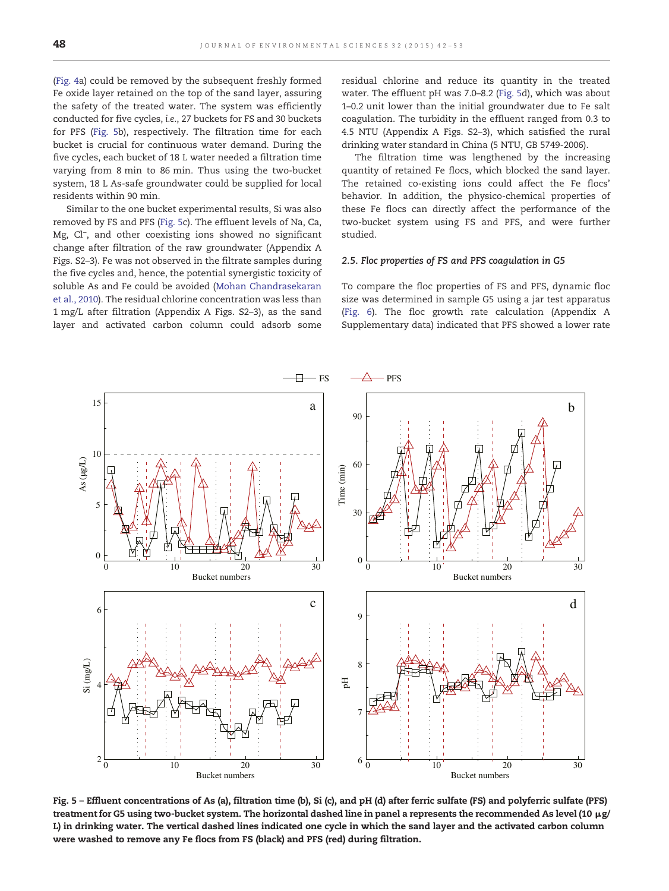<span id="page-6-0"></span>([Fig. 4](#page-5-0)a) could be removed by the subsequent freshly formed Fe oxide layer retained on the top of the sand layer, assuring the safety of the treated water. The system was efficiently conducted for five cycles, i.e., 27 buckets for FS and 30 buckets for PFS (Fig. 5b), respectively. The filtration time for each bucket is crucial for continuous water demand. During the five cycles, each bucket of 18 L water needed a filtration time varying from 8 min to 86 min. Thus using the two-bucket system, 18 L As-safe groundwater could be supplied for local residents within 90 min.

Similar to the one bucket experimental results, Si was also removed by FS and PFS (Fig. 5c). The effluent levels of Na, Ca, Mg, Cl<sup>−</sup>, and other coexisting ions showed no significant change after filtration of the raw groundwater (Appendix A Figs. S2–3). Fe was not observed in the filtrate samples during the five cycles and, hence, the potential synergistic toxicity of soluble As and Fe could be avoided [\(Mohan Chandrasekaran](#page-10-0) [et al., 2010](#page-10-0)). The residual chlorine concentration was less than 1 mg/L after filtration (Appendix A Figs. S2–3), as the sand layer and activated carbon column could adsorb some residual chlorine and reduce its quantity in the treated water. The effluent pH was 7.0–8.2 (Fig. 5d), which was about 1–0.2 unit lower than the initial groundwater due to Fe salt coagulation. The turbidity in the effluent ranged from 0.3 to 4.5 NTU (Appendix A Figs. S2–3), which satisfied the rural drinking water standard in China (5 NTU, GB 5749-2006).

The filtration time was lengthened by the increasing quantity of retained Fe flocs, which blocked the sand layer. The retained co-existing ions could affect the Fe flocs' behavior. In addition, the physico-chemical properties of these Fe flocs can directly affect the performance of the two-bucket system using FS and PFS, and were further studied.

#### 2.5. Floc properties of FS and PFS coagulation in G5

To compare the floc properties of FS and PFS, dynamic floc size was determined in sample G5 using a jar test apparatus ([Fig. 6](#page-7-0)). The floc growth rate calculation (Appendix A Supplementary data) indicated that PFS showed a lower rate



Fig. 5 – Effluent concentrations of As (a), filtration time (b), Si (c), and pH (d) after ferric sulfate (FS) and polyferric sulfate (PFS) treatment for G5 using two-bucket system. The horizontal dashed line in panel a represents the recommended As level (10 μg/ L) in drinking water. The vertical dashed lines indicated one cycle in which the sand layer and the activated carbon column were washed to remove any Fe flocs from FS (black) and PFS (red) during filtration.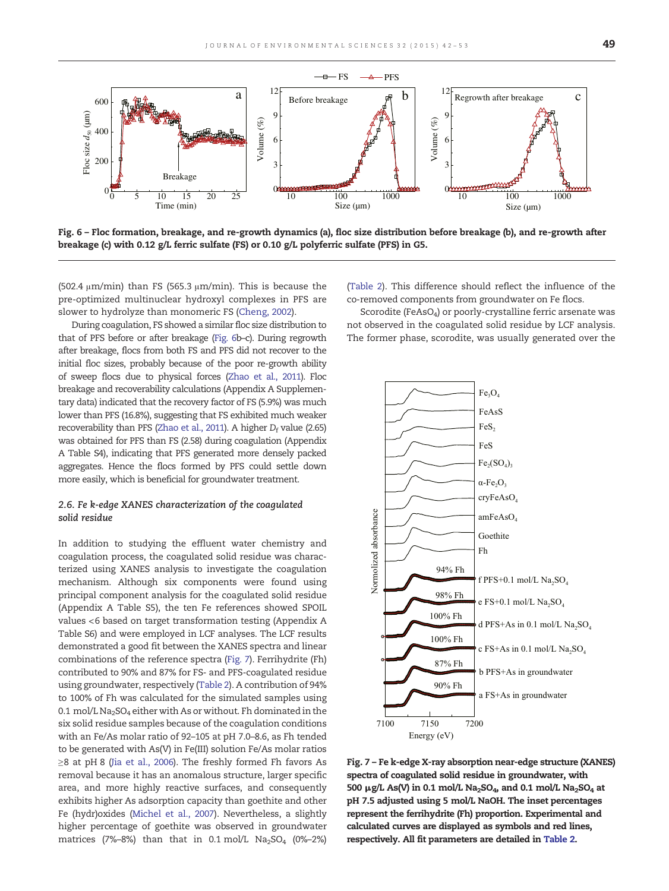<span id="page-7-0"></span>

Fig. 6 – Floc formation, breakage, and re-growth dynamics (a), floc size distribution before breakage (b), and re-growth after breakage (c) with 0.12 g/L ferric sulfate (FS) or 0.10 g/L polyferric sulfate (PFS) in G5.

(502.4  $\mu$ m/min) than FS (565.3  $\mu$ m/min). This is because the pre-optimized multinuclear hydroxyl complexes in PFS are slower to hydrolyze than monomeric FS ([Cheng, 2002\)](#page-10-0).

During coagulation, FS showed a similar floc size distribution to that of PFS before or after breakage (Fig. 6b–c). During regrowth after breakage, flocs from both FS and PFS did not recover to the initial floc sizes, probably because of the poor re-growth ability of sweep flocs due to physical forces [\(Zhao et al., 2011\)](#page-11-0). Floc breakage and recoverability calculations (Appendix A Supplementary data) indicated that the recovery factor of FS (5.9%) was much lower than PFS (16.8%), suggesting that FS exhibited much weaker recoverability than PFS [\(Zhao et al., 2011\)](#page-11-0). A higher  $D_f$  value (2.65) was obtained for PFS than FS (2.58) during coagulation (Appendix A Table S4), indicating that PFS generated more densely packed aggregates. Hence the flocs formed by PFS could settle down more easily, which is beneficial for groundwater treatment.

# 2.6. Fe k-edge XANES characterization of the coagulated solid residue

In addition to studying the effluent water chemistry and coagulation process, the coagulated solid residue was characterized using XANES analysis to investigate the coagulation mechanism. Although six components were found using principal component analysis for the coagulated solid residue (Appendix A Table S5), the ten Fe references showed SPOIL values <6 based on target transformation testing (Appendix A Table S6) and were employed in LCF analyses. The LCF results demonstrated a good fit between the XANES spectra and linear combinations of the reference spectra (Fig. 7). Ferrihydrite (Fh) contributed to 90% and 87% for FS- and PFS-coagulated residue using groundwater, respectively [\(Table 2\)](#page-8-0). A contribution of 94% to 100% of Fh was calculated for the simulated samples using 0.1 mol/L Na<sub>2</sub>SO<sub>4</sub> either with As or without. Fh dominated in the six solid residue samples because of the coagulation conditions with an Fe/As molar ratio of 92–105 at pH 7.0–8.6, as Fh tended to be generated with As(V) in Fe(III) solution Fe/As molar ratios ≥8 at pH 8 [\(Jia et al., 2006](#page-10-0)). The freshly formed Fh favors As removal because it has an anomalous structure, larger specific area, and more highly reactive surfaces, and consequently exhibits higher As adsorption capacity than goethite and other Fe (hydr)oxides [\(Michel et al., 2007\)](#page-10-0). Nevertheless, a slightly higher percentage of goethite was observed in groundwater matrices (7%–8%) than that in 0.1 mol/L  $Na<sub>2</sub>SO<sub>4</sub>$  (0%–2%)

[\(Table 2](#page-8-0)). This difference should reflect the influence of the co-removed components from groundwater on Fe flocs.

Scorodite (FeAsO<sub>4</sub>) or poorly-crystalline ferric arsenate was not observed in the coagulated solid residue by LCF analysis. The former phase, scorodite, was usually generated over the



Fig. 7 – Fe k-edge X-ray absorption near-edge structure (XANES) spectra of coagulated solid residue in groundwater, with 500 μg/L As(V) in 0.1 mol/L Na<sub>2</sub>SO<sub>4</sub>, and 0.1 mol/L Na<sub>2</sub>SO<sub>4</sub> at pH 7.5 adjusted using 5 mol/L NaOH. The inset percentages represent the ferrihydrite (Fh) proportion. Experimental and calculated curves are displayed as symbols and red lines, respectively. All fit parameters are detailed in [Table 2.](#page-8-0)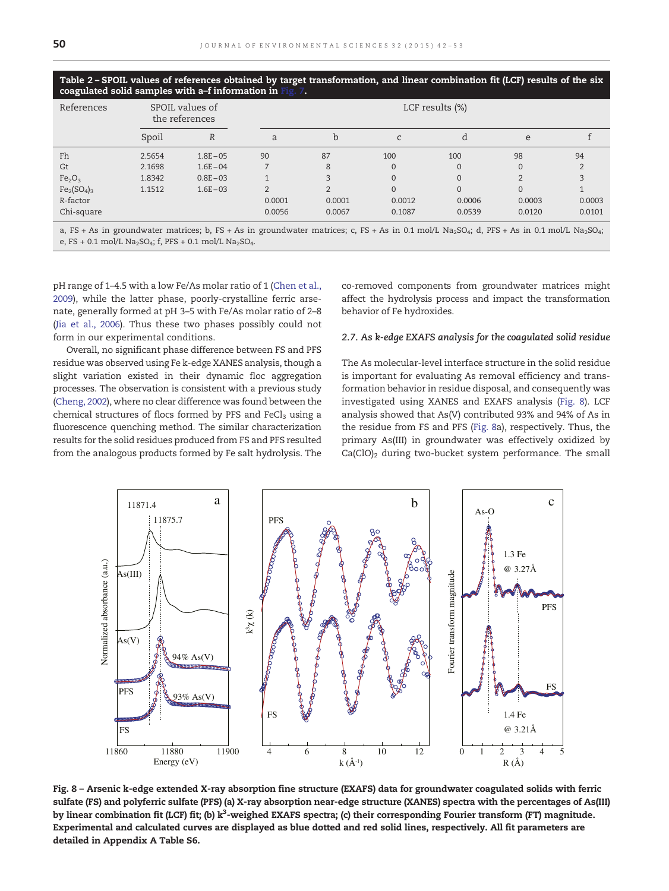<span id="page-8-0"></span>Table 2 – SPOIL values of references obtained by target transformation, and linear combination fit (LCF) results of the six coagulated solid samples with a-f information in

| . .                            |                                   |             |          |                 |              |                |                |        |  |  |  |
|--------------------------------|-----------------------------------|-------------|----------|-----------------|--------------|----------------|----------------|--------|--|--|--|
| References                     | SPOIL values of<br>the references |             |          | LCF results (%) |              |                |                |        |  |  |  |
|                                | Spoil                             | R           | a        | b               | C            | đ              | e              |        |  |  |  |
| Fh                             | 2.5654                            | $1.8E - 05$ | 90       | 87              | 100          | 100            | 98             | 94     |  |  |  |
| Gt                             | 2.1698                            | $1.6E - 04$ |          | 8               | $\mathbf{0}$ | $\mathbf{0}$   | $\Omega$       |        |  |  |  |
| Fe <sub>2</sub> O <sub>3</sub> | 1.8342                            | $0.8E - 03$ | 1        | 3               | $\mathbf{0}$ | $\mathbf{0}$   | $\mathfrak{D}$ |        |  |  |  |
| $Fe2(SO4)3$                    | 1.1512                            | $1.6E - 03$ | $\Omega$ | $\mathcal{D}$   | $\Omega$     | $\overline{0}$ | $\Omega$       |        |  |  |  |
| R-factor                       |                                   |             | 0.0001   | 0.0001          | 0.0012       | 0.0006         | 0.0003         | 0.0003 |  |  |  |
| Chi-square                     |                                   |             | 0.0056   | 0.0067          | 0.1087       | 0.0539         | 0.0120         | 0.0101 |  |  |  |

a, FS + As in groundwater matrices; b, FS + As in groundwater matrices; c, FS + As in 0.1 mol/L Na<sub>2</sub>SO<sub>4</sub>; d, PFS + As in 0.1 mol/L Na<sub>2</sub>SO<sub>4</sub>; e, FS + 0.1 mol/L Na<sub>2</sub>SO<sub>4</sub>; f, PFS + 0.1 mol/L Na<sub>2</sub>SO<sub>4</sub>.

pH range of 1–4.5 with a low Fe/As molar ratio of 1 [\(Chen et al.,](#page-10-0) [2009\)](#page-10-0), while the latter phase, poorly-crystalline ferric arsenate, generally formed at pH 3–5 with Fe/As molar ratio of 2–8 ([Jia et al., 2006\)](#page-10-0). Thus these two phases possibly could not form in our experimental conditions.

Overall, no significant phase difference between FS and PFS residue was observed using Fe k-edge XANES analysis, though a slight variation existed in their dynamic floc aggregation processes. The observation is consistent with a previous study ([Cheng, 2002](#page-10-0)), where no clear difference was found between the chemical structures of flocs formed by PFS and  $FeCl<sub>3</sub>$  using a fluorescence quenching method. The similar characterization results for the solid residues produced from FS and PFS resulted from the analogous products formed by Fe salt hydrolysis. The

co-removed components from groundwater matrices might affect the hydrolysis process and impact the transformation behavior of Fe hydroxides.

#### 2.7. As k-edge EXAFS analysis for the coagulated solid residue

The As molecular-level interface structure in the solid residue is important for evaluating As removal efficiency and transformation behavior in residue disposal, and consequently was investigated using XANES and EXAFS analysis (Fig. 8). LCF analysis showed that As(V) contributed 93% and 94% of As in the residue from FS and PFS (Fig. 8a), respectively. Thus, the primary As(III) in groundwater was effectively oxidized by  $Ca(CIO)_2$  during two-bucket system performance. The small



Fig. 8 – Arsenic k-edge extended X-ray absorption fine structure (EXAFS) data for groundwater coagulated solids with ferric sulfate (FS) and polyferric sulfate (PFS) (a) X-ray absorption near-edge structure (XANES) spectra with the percentages of As(III) by linear combination fit (LCF) fit; (b) k $^3$ -weighed EXAFS spectra; (c) their corresponding Fourier transform (FT) magnitude. Experimental and calculated curves are displayed as blue dotted and red solid lines, respectively. All fit parameters are detailed in Appendix A Table S6.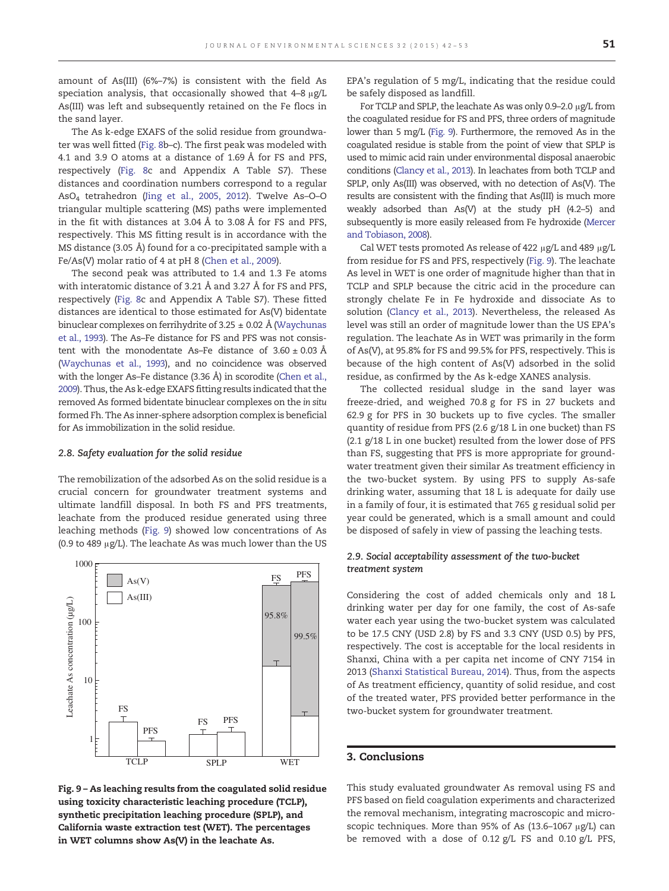amount of As(III) (6%–7%) is consistent with the field As speciation analysis, that occasionally showed that 4–8 μg/L As(III) was left and subsequently retained on the Fe flocs in the sand layer.

The As k-edge EXAFS of the solid residue from groundwater was well fitted ([Fig. 8](#page-8-0)b–c). The first peak was modeled with 4.1 and 3.9 O atoms at a distance of 1.69 Å for FS and PFS, respectively [\(Fig. 8c](#page-8-0) and Appendix A Table S7). These distances and coordination numbers correspond to a regular AsO4 tetrahedron [\(Jing et al., 2005, 2012](#page-10-0)). Twelve As–O–O triangular multiple scattering (MS) paths were implemented in the fit with distances at 3.04 Å to 3.08 Å for FS and PFS, respectively. This MS fitting result is in accordance with the MS distance (3.05 Å) found for a co-precipitated sample with a Fe/As(V) molar ratio of 4 at pH 8 [\(Chen et al., 2009](#page-10-0)).

The second peak was attributed to 1.4 and 1.3 Fe atoms with interatomic distance of 3.21 Å and 3.27 Å for FS and PFS, respectively [\(Fig. 8c](#page-8-0) and Appendix A Table S7). These fitted distances are identical to those estimated for As(V) bidentate binuclear complexes on ferrihydrite of 3.25  $\pm$  0.02 Å [\(Waychunas](#page-11-0) [et al., 1993\)](#page-11-0). The As–Fe distance for FS and PFS was not consistent with the monodentate As–Fe distance of  $3.60 \pm 0.03$  Å [\(Waychunas et al., 1993\)](#page-11-0), and no coincidence was observed with the longer As–Fe distance (3.36 Å) in scorodite ([Chen et al.,](#page-10-0) [2009\)](#page-10-0). Thus, the As k-edge EXAFS fitting results indicated that the removed As formed bidentate binuclear complexes on the in situ formed Fh. The As inner-sphere adsorption complex is beneficial for As immobilization in the solid residue.

#### 2.8. Safety evaluation for the solid residue

The remobilization of the adsorbed As on the solid residue is a crucial concern for groundwater treatment systems and ultimate landfill disposal. In both FS and PFS treatments, leachate from the produced residue generated using three leaching methods (Fig. 9) showed low concentrations of As (0.9 to 489 μg/L). The leachate As was much lower than the US



Fig. 9 – As leaching results from the coagulated solid residue using toxicity characteristic leaching procedure (TCLP), synthetic precipitation leaching procedure (SPLP), and California waste extraction test (WET). The percentages in WET columns show As(V) in the leachate As.

EPA's regulation of 5 mg/L, indicating that the residue could be safely disposed as landfill.

For TCLP and SPLP, the leachate As was only 0.9–2.0 μg/L from the coagulated residue for FS and PFS, three orders of magnitude lower than 5 mg/L (Fig. 9). Furthermore, the removed As in the coagulated residue is stable from the point of view that SPLP is used to mimic acid rain under environmental disposal anaerobic conditions ([Clancy et al., 2013](#page-10-0)). In leachates from both TCLP and SPLP, only As(III) was observed, with no detection of As(V). The results are consistent with the finding that As(III) is much more weakly adsorbed than As(V) at the study pH (4.2–5) and subsequently is more easily released from Fe hydroxide [\(Mercer](#page-10-0) [and Tobiason, 2008](#page-10-0)).

Cal WET tests promoted As release of 422 μg/L and 489 μg/L from residue for FS and PFS, respectively (Fig. 9). The leachate As level in WET is one order of magnitude higher than that in TCLP and SPLP because the citric acid in the procedure can strongly chelate Fe in Fe hydroxide and dissociate As to solution ([Clancy et al., 2013\)](#page-10-0). Nevertheless, the released As level was still an order of magnitude lower than the US EPA's regulation. The leachate As in WET was primarily in the form of As(V), at 95.8% for FS and 99.5% for PFS, respectively. This is because of the high content of As(V) adsorbed in the solid residue, as confirmed by the As k-edge XANES analysis.

The collected residual sludge in the sand layer was freeze-dried, and weighed 70.8 g for FS in 27 buckets and 62.9 g for PFS in 30 buckets up to five cycles. The smaller quantity of residue from PFS (2.6 g/18 L in one bucket) than FS (2.1 g/18 L in one bucket) resulted from the lower dose of PFS than FS, suggesting that PFS is more appropriate for groundwater treatment given their similar As treatment efficiency in the two-bucket system. By using PFS to supply As-safe drinking water, assuming that 18 L is adequate for daily use in a family of four, it is estimated that 765 g residual solid per year could be generated, which is a small amount and could be disposed of safely in view of passing the leaching tests.

# 2.9. Social acceptability assessment of the two-bucket treatment system

Considering the cost of added chemicals only and 18 L drinking water per day for one family, the cost of As-safe water each year using the two-bucket system was calculated to be 17.5 CNY (USD 2.8) by FS and 3.3 CNY (USD 0.5) by PFS, respectively. The cost is acceptable for the local residents in Shanxi, China with a per capita net income of CNY 7154 in 2013 [\(Shanxi Statistical Bureau, 2014](#page-10-0)). Thus, from the aspects of As treatment efficiency, quantity of solid residue, and cost of the treated water, PFS provided better performance in the two-bucket system for groundwater treatment.

## 3. Conclusions

This study evaluated groundwater As removal using FS and PFS based on field coagulation experiments and characterized the removal mechanism, integrating macroscopic and microscopic techniques. More than 95% of As (13.6–1067 μg/L) can be removed with a dose of 0.12 g/L FS and 0.10 g/L PFS,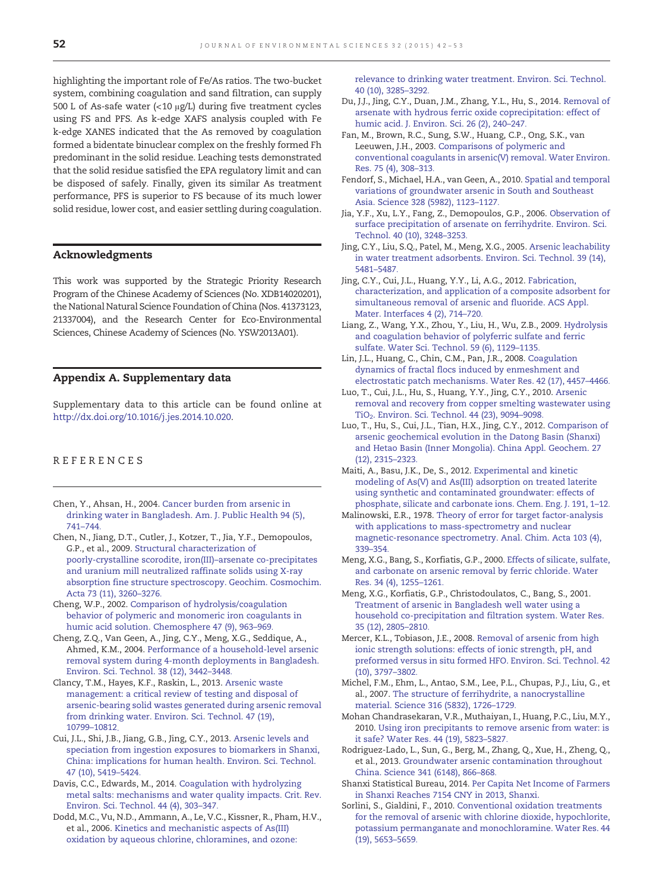<span id="page-10-0"></span>highlighting the important role of Fe/As ratios. The two-bucket system, combining coagulation and sand filtration, can supply 500 L of As-safe water (<10 μg/L) during five treatment cycles using FS and PFS. As k-edge XAFS analysis coupled with Fe k-edge XANES indicated that the As removed by coagulation formed a bidentate binuclear complex on the freshly formed Fh predominant in the solid residue. Leaching tests demonstrated that the solid residue satisfied the EPA regulatory limit and can be disposed of safely. Finally, given its similar As treatment performance, PFS is superior to FS because of its much lower solid residue, lower cost, and easier settling during coagulation.

# Acknowledgments

This work was supported by the Strategic Priority Research Program of the Chinese Academy of Sciences (No. XDB14020201), the National Natural Science Foundation of China (Nos. 41373123, 21337004), and the Research Center for Eco-Environmental Sciences, Chinese Academy of Sciences (No. YSW2013A01).

# Appendix A. Supplementary data

Supplementary data to this article can be found online at [http://dx.doi.org/10.1016/j.jes.2014.10.020.](http://dx.doi.org/10.1016/j.jes.2014.10.020)

# REFERENCES

- Chen, Y., Ahsan, H., 2004. [Cancer burden from arsenic in](http://refhub.elsevier.com/S1001-0742(15)00097-2/rf0010) [drinking water in Bangladesh. Am. J. Public Health 94 \(5\),](http://refhub.elsevier.com/S1001-0742(15)00097-2/rf0010) [741](http://refhub.elsevier.com/S1001-0742(15)00097-2/rf0010)–744.
- Chen, N., Jiang, D.T., Cutler, J., Kotzer, T., Jia, Y.F., Demopoulos, G.P., et al., 2009. [Structural characterization of](http://refhub.elsevier.com/S1001-0742(15)00097-2/rf0005) [poorly-crystalline scorodite, iron\(III\)](http://refhub.elsevier.com/S1001-0742(15)00097-2/rf0005)–arsenate co-precipitates [and uranium mill neutralized raffinate solids using X-ray](http://refhub.elsevier.com/S1001-0742(15)00097-2/rf0005) [absorption fine structure spectroscopy. Geochim. Cosmochim.](http://refhub.elsevier.com/S1001-0742(15)00097-2/rf0005) [Acta 73 \(11\), 3260](http://refhub.elsevier.com/S1001-0742(15)00097-2/rf0005)–3276.
- Cheng, W.P., 2002. [Comparison of hydrolysis/coagulation](http://refhub.elsevier.com/S1001-0742(15)00097-2/rf0015) [behavior of polymeric and monomeric iron coagulants in](http://refhub.elsevier.com/S1001-0742(15)00097-2/rf0015) [humic acid solution. Chemosphere 47 \(9\), 963](http://refhub.elsevier.com/S1001-0742(15)00097-2/rf0015)–969.
- Cheng, Z.Q., Van Geen, A., Jing, C.Y., Meng, X.G., Seddique, A., Ahmed, K.M., 2004. [Performance of a household-level arsenic](http://refhub.elsevier.com/S1001-0742(15)00097-2/rf0020) [removal system during 4-month deployments in Bangladesh.](http://refhub.elsevier.com/S1001-0742(15)00097-2/rf0020) [Environ. Sci. Technol. 38 \(12\), 3442](http://refhub.elsevier.com/S1001-0742(15)00097-2/rf0020)–3448.
- Clancy, T.M., Hayes, K.F., Raskin, L., 2013. [Arsenic waste](http://refhub.elsevier.com/S1001-0742(15)00097-2/rf0025) [management: a critical review of testing and disposal of](http://refhub.elsevier.com/S1001-0742(15)00097-2/rf0025) [arsenic-bearing solid wastes generated during arsenic removal](http://refhub.elsevier.com/S1001-0742(15)00097-2/rf0025) [from drinking water. Environ. Sci. Technol. 47 \(19\),](http://refhub.elsevier.com/S1001-0742(15)00097-2/rf0025) [10799](http://refhub.elsevier.com/S1001-0742(15)00097-2/rf0025)–10812.
- Cui, J.L., Shi, J.B., Jiang, G.B., Jing, C.Y., 2013. [Arsenic levels and](http://refhub.elsevier.com/S1001-0742(15)00097-2/rf0030) [speciation from ingestion exposures to biomarkers in Shanxi,](http://refhub.elsevier.com/S1001-0742(15)00097-2/rf0030) [China: implications for human health. Environ. Sci. Technol.](http://refhub.elsevier.com/S1001-0742(15)00097-2/rf0030) [47 \(10\), 5419](http://refhub.elsevier.com/S1001-0742(15)00097-2/rf0030)–5424.
- Davis, C.C., Edwards, M., 2014. [Coagulation with hydrolyzing](http://refhub.elsevier.com/S1001-0742(15)00097-2/rf0035) [metal salts: mechanisms and water quality impacts. Crit. Rev.](http://refhub.elsevier.com/S1001-0742(15)00097-2/rf0035) [Environ. Sci. Technol. 44 \(4\), 303](http://refhub.elsevier.com/S1001-0742(15)00097-2/rf0035)–347.
- Dodd, M.C., Vu, N.D., Ammann, A., Le, V.C., Kissner, R., Pham, H.V., et al., 2006. [Kinetics and mechanistic aspects of As\(III\)](http://refhub.elsevier.com/S1001-0742(15)00097-2/rf0040) [oxidation by aqueous chlorine, chloramines, and ozone:](http://refhub.elsevier.com/S1001-0742(15)00097-2/rf0040)

[relevance to drinking water treatment. Environ. Sci. Technol.](http://refhub.elsevier.com/S1001-0742(15)00097-2/rf0040) [40 \(10\), 3285](http://refhub.elsevier.com/S1001-0742(15)00097-2/rf0040)–3292.

- Du, J.J., Jing, C.Y., Duan, J.M., Zhang, Y.L., Hu, S., 2014. [Removal of](http://refhub.elsevier.com/S1001-0742(15)00097-2/rf0045) [arsenate with hydrous ferric oxide coprecipitation: effect of](http://refhub.elsevier.com/S1001-0742(15)00097-2/rf0045) [humic acid. J. Environ. Sci. 26 \(2\), 240](http://refhub.elsevier.com/S1001-0742(15)00097-2/rf0045)–247.
- Fan, M., Brown, R.C., Sung, S.W., Huang, C.P., Ong, S.K., van Leeuwen, J.H., 2003. [Comparisons of polymeric and](http://refhub.elsevier.com/S1001-0742(15)00097-2/rf0050) [conventional coagulants in arsenic\(V\) removal. Water Environ.](http://refhub.elsevier.com/S1001-0742(15)00097-2/rf0050) [Res. 75 \(4\), 308](http://refhub.elsevier.com/S1001-0742(15)00097-2/rf0050)–313.
- Fendorf, S., Michael, H.A., van Geen, A., 2010. [Spatial and temporal](http://refhub.elsevier.com/S1001-0742(15)00097-2/rf0055) [variations of groundwater arsenic in South and Southeast](http://refhub.elsevier.com/S1001-0742(15)00097-2/rf0055) [Asia. Science 328 \(5982\), 1123](http://refhub.elsevier.com/S1001-0742(15)00097-2/rf0055)–1127.
- Jia, Y.F., Xu, L.Y., Fang, Z., Demopoulos, G.P., 2006. [Observation of](http://refhub.elsevier.com/S1001-0742(15)00097-2/rf0060) [surface precipitation of arsenate on ferrihydrite. Environ. Sci.](http://refhub.elsevier.com/S1001-0742(15)00097-2/rf0060) [Technol. 40 \(10\), 3248](http://refhub.elsevier.com/S1001-0742(15)00097-2/rf0060)–3253.
- Jing, C.Y., Liu, S.Q., Patel, M., Meng, X.G., 2005. [Arsenic leachability](http://refhub.elsevier.com/S1001-0742(15)00097-2/rf0065) [in water treatment adsorbents. Environ. Sci. Technol. 39 \(14\),](http://refhub.elsevier.com/S1001-0742(15)00097-2/rf0065) [5481](http://refhub.elsevier.com/S1001-0742(15)00097-2/rf0065)–5487.
- Jing, C.Y., Cui, J.L., Huang, Y.Y., Li, A.G., 2012. [Fabrication,](http://refhub.elsevier.com/S1001-0742(15)00097-2/rf0070) [characterization, and application of a composite adsorbent for](http://refhub.elsevier.com/S1001-0742(15)00097-2/rf0070) [simultaneous removal of arsenic and fluoride. ACS Appl.](http://refhub.elsevier.com/S1001-0742(15)00097-2/rf0070) [Mater. Interfaces 4 \(2\), 714](http://refhub.elsevier.com/S1001-0742(15)00097-2/rf0070)–720.
- Liang, Z., Wang, Y.X., Zhou, Y., Liu, H., Wu, Z.B., 2009. [Hydrolysis](http://refhub.elsevier.com/S1001-0742(15)00097-2/rf0075) [and coagulation behavior of polyferric sulfate and ferric](http://refhub.elsevier.com/S1001-0742(15)00097-2/rf0075) [sulfate. Water Sci. Technol. 59 \(6\), 1129](http://refhub.elsevier.com/S1001-0742(15)00097-2/rf0075)–1135.
- Lin, J.L., Huang, C., Chin, C.M., Pan, J.R., 2008. [Coagulation](http://refhub.elsevier.com/S1001-0742(15)00097-2/rf0080) [dynamics of fractal flocs induced by enmeshment and](http://refhub.elsevier.com/S1001-0742(15)00097-2/rf0080) [electrostatic patch mechanisms. Water Res. 42 \(17\), 4457](http://refhub.elsevier.com/S1001-0742(15)00097-2/rf0080)–4466.
- Luo, T., Cui, J.L., Hu, S., Huang, Y.Y., Jing, C.Y., 2010. [Arsenic](http://refhub.elsevier.com/S1001-0742(15)00097-2/rf0085) [removal and recovery from copper smelting wastewater using](http://refhub.elsevier.com/S1001-0742(15)00097-2/rf0085) [TiO2. Environ. Sci. Technol. 44 \(23\), 9094](http://refhub.elsevier.com/S1001-0742(15)00097-2/rf0085)–9098.
- Luo, T., Hu, S., Cui, J.L., Tian, H.X., Jing, C.Y., 2012. [Comparison of](http://refhub.elsevier.com/S1001-0742(15)00097-2/rf0090) [arsenic geochemical evolution in the Datong Basin \(Shanxi\)](http://refhub.elsevier.com/S1001-0742(15)00097-2/rf0090) [and Hetao Basin \(Inner Mongolia\). China Appl. Geochem. 27](http://refhub.elsevier.com/S1001-0742(15)00097-2/rf0090) [\(12\), 2315](http://refhub.elsevier.com/S1001-0742(15)00097-2/rf0090)–2323.
- Maiti, A., Basu, J.K., De, S., 2012. [Experimental and kinetic](http://refhub.elsevier.com/S1001-0742(15)00097-2/rf0095) [modeling of As\(V\) and As\(III\) adsorption on treated laterite](http://refhub.elsevier.com/S1001-0742(15)00097-2/rf0095) [using synthetic and contaminated groundwater: effects of](http://refhub.elsevier.com/S1001-0742(15)00097-2/rf0095) [phosphate, silicate and carbonate ions. Chem. Eng. J. 191, 1](http://refhub.elsevier.com/S1001-0742(15)00097-2/rf0095)–12.
- Malinowski, E.R., 1978. [Theory of error for target factor-analysis](http://refhub.elsevier.com/S1001-0742(15)00097-2/rf0100) [with applications to mass-spectrometry and nuclear](http://refhub.elsevier.com/S1001-0742(15)00097-2/rf0100) [magnetic-resonance spectrometry. Anal. Chim. Acta 103 \(4\),](http://refhub.elsevier.com/S1001-0742(15)00097-2/rf0100) 339–[354.](http://refhub.elsevier.com/S1001-0742(15)00097-2/rf0100)
- Meng, X.G., Bang, S., Korfiatis, G.P., 2000. [Effects of silicate, sulfate,](http://refhub.elsevier.com/S1001-0742(15)00097-2/rf0110) [and carbonate on arsenic removal by ferric chloride. Water](http://refhub.elsevier.com/S1001-0742(15)00097-2/rf0110) [Res. 34 \(4\), 1255](http://refhub.elsevier.com/S1001-0742(15)00097-2/rf0110)–1261.
- Meng, X.G., Korfiatis, G.P., Christodoulatos, C., Bang, S., 2001. [Treatment of arsenic in Bangladesh well water using a](http://refhub.elsevier.com/S1001-0742(15)00097-2/rf0105) [household co-precipitation and filtration system. Water Res.](http://refhub.elsevier.com/S1001-0742(15)00097-2/rf0105) [35 \(12\), 2805](http://refhub.elsevier.com/S1001-0742(15)00097-2/rf0105)–2810.
- Mercer, K.L., Tobiason, J.E., 2008. [Removal of arsenic from high](http://refhub.elsevier.com/S1001-0742(15)00097-2/rf0115) [ionic strength solutions: effects of ionic strength, pH, and](http://refhub.elsevier.com/S1001-0742(15)00097-2/rf0115) [preformed versus in situ formed HFO. Environ. Sci. Technol. 42](http://refhub.elsevier.com/S1001-0742(15)00097-2/rf0115) [\(10\), 3797](http://refhub.elsevier.com/S1001-0742(15)00097-2/rf0115)–3802.
- Michel, F.M., Ehm, L., Antao, S.M., Lee, P.L., Chupas, P.J., Liu, G., et al., 2007. [The structure of ferrihydrite, a nanocrystalline](http://refhub.elsevier.com/S1001-0742(15)00097-2/rf0120) [material. Science 316 \(5832\), 1726](http://refhub.elsevier.com/S1001-0742(15)00097-2/rf0120)–1729.
- Mohan Chandrasekaran, V.R., Muthaiyan, I., Huang, P.C., Liu, M.Y., 2010. [Using iron precipitants to remove arsenic from water: is](http://refhub.elsevier.com/S1001-0742(15)00097-2/rf0125) [it safe? Water Res. 44 \(19\), 5823](http://refhub.elsevier.com/S1001-0742(15)00097-2/rf0125)–5827.
- Rodriguez-Lado, L., Sun, G., Berg, M., Zhang, Q., Xue, H., Zheng, Q., et al., 2013. [Groundwater arsenic contamination throughout](http://refhub.elsevier.com/S1001-0742(15)00097-2/rf0130) [China. Science 341 \(6148\), 866](http://refhub.elsevier.com/S1001-0742(15)00097-2/rf0130)–868.
- Shanxi Statistical Bureau, 2014. [Per Capita Net Income of Farmers](http://refhub.elsevier.com/S1001-0742(15)00097-2/rf0165) [in Shanxi Reaches 7154 CNY in 2013, Shanxi.](http://refhub.elsevier.com/S1001-0742(15)00097-2/rf0165)
- Sorlini, S., Gialdini, F., 2010. [Conventional oxidation treatments](http://refhub.elsevier.com/S1001-0742(15)00097-2/rf0140) [for the removal of arsenic with chlorine dioxide, hypochlorite,](http://refhub.elsevier.com/S1001-0742(15)00097-2/rf0140) [potassium permanganate and monochloramine. Water Res. 44](http://refhub.elsevier.com/S1001-0742(15)00097-2/rf0140) [\(19\), 5653](http://refhub.elsevier.com/S1001-0742(15)00097-2/rf0140)–5659.